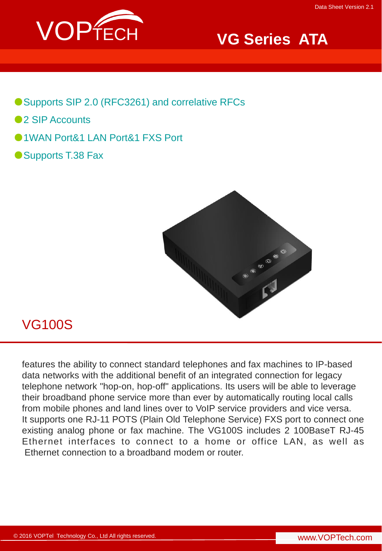

# **VG Series ATA**

- ●Supports SIP 2.0 (RFC3261) and correlative RFCs
- ●2 SIP Accounts
- ●1WAN Port&1 LAN Port&1 FXS Port
- Supports T.38 Fax



## VG100S

features the ability to connect standard telephones and fax machines to IP-based data networks with the additional benefit of an integrated connection for legacy telephone network "hop-on, hop-off" applications. Its users will be able to leverage their broadband phone service more than ever by automatically routing local calls from mobile phones and land lines over to VoIP service providers and vice versa. It supports one RJ-11 POTS (Plain Old Telephone Service) FXS port to connect one existing analog phone or fax machine. The VG100S includes 2 100BaseT RJ-45 Ethernet interfaces to connect to a home or office LAN, as well as Ethernet connection to a broadband modem or router.